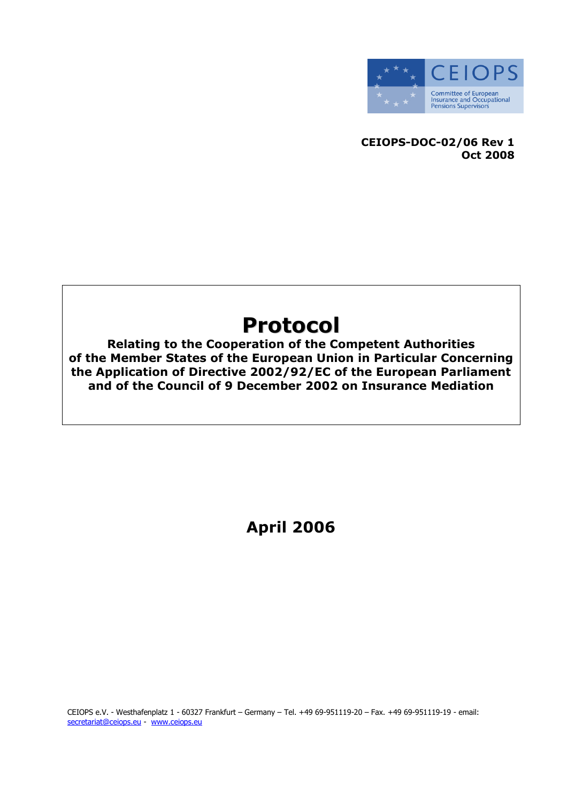

CEIOPS-DOC-02/06 Rev 1 Oct 2008

# Protocol

Relating to the Cooperation of the Competent Authorities of the Member States of the European Union in Particular Concerning the Application of Directive 2002/92/EC of the European Parliament and of the Council of 9 December 2002 on Insurance Mediation

April 2006

CEIOPS e.V. - Westhafenplatz 1 - 60327 Frankfurt – Germany – Tel. +49 69-951119-20 – Fax. +49 69-951119-19 - email: secretariat@ceiops.eu - www.ceiops.eu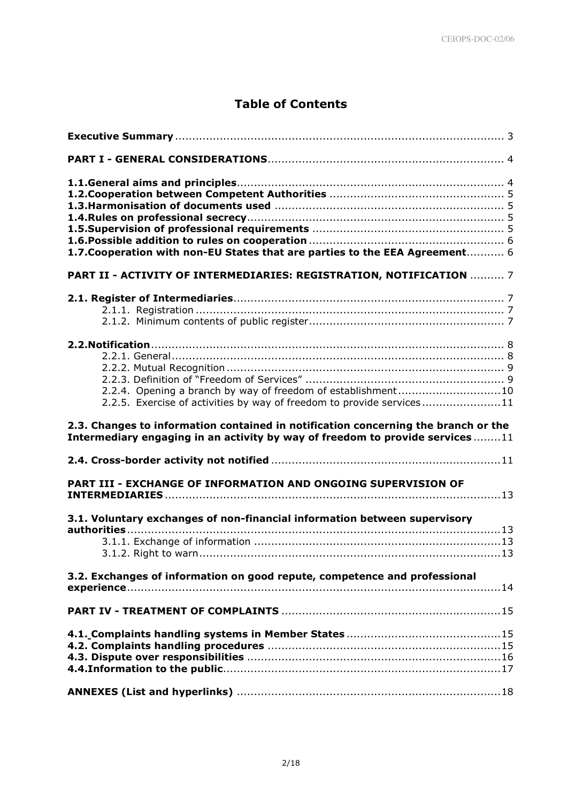# Table of Contents

| 1.7. Cooperation with non-EU States that are parties to the EEA Agreement 6                                                                                         |
|---------------------------------------------------------------------------------------------------------------------------------------------------------------------|
| PART II - ACTIVITY OF INTERMEDIARIES: REGISTRATION, NOTIFICATION  7                                                                                                 |
|                                                                                                                                                                     |
| 2.2.4. Opening a branch by way of freedom of establishment10<br>2.2.5. Exercise of activities by way of freedom to provide services11                               |
|                                                                                                                                                                     |
| 2.3. Changes to information contained in notification concerning the branch or the<br>Intermediary engaging in an activity by way of freedom to provide services 11 |
|                                                                                                                                                                     |
| PART III - EXCHANGE OF INFORMATION AND ONGOING SUPERVISION OF                                                                                                       |
| 3.1. Voluntary exchanges of non-financial information between supervisory                                                                                           |
| 3.2. Exchanges of information on good repute, competence and professional                                                                                           |
|                                                                                                                                                                     |
|                                                                                                                                                                     |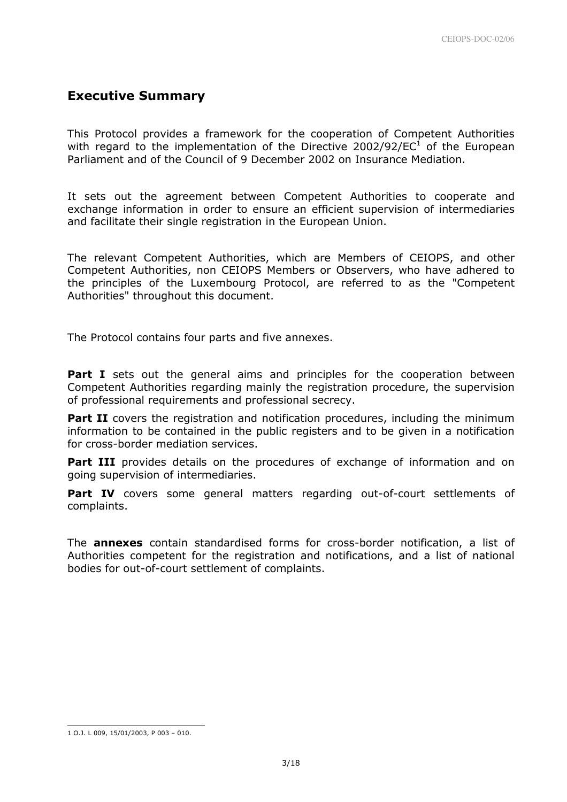# Executive Summary

This Protocol provides a framework for the cooperation of Competent Authorities with regard to the implementation of the Directive 2002/92/EC $1$  of the European Parliament and of the Council of 9 December 2002 on Insurance Mediation.

It sets out the agreement between Competent Authorities to cooperate and exchange information in order to ensure an efficient supervision of intermediaries and facilitate their single registration in the European Union.

The relevant Competent Authorities, which are Members of CEIOPS, and other Competent Authorities, non CEIOPS Members or Observers, who have adhered to the principles of the Luxembourg Protocol, are referred to as the "Competent Authorities" throughout this document.

The Protocol contains four parts and five annexes.

**Part I** sets out the general aims and principles for the cooperation between Competent Authorities regarding mainly the registration procedure, the supervision of professional requirements and professional secrecy.

**Part II** covers the registration and notification procedures, including the minimum information to be contained in the public registers and to be given in a notification for cross-border mediation services.

**Part III** provides details on the procedures of exchange of information and on going supervision of intermediaries.

**Part IV** covers some general matters regarding out-of-court settlements of complaints.

The **annexes** contain standardised forms for cross-border notification, a list of Authorities competent for the registration and notifications, and a list of national bodies for out-of-court settlement of complaints.

l

<sup>1</sup> O.J. L 009, 15/01/2003, P 003 – 010.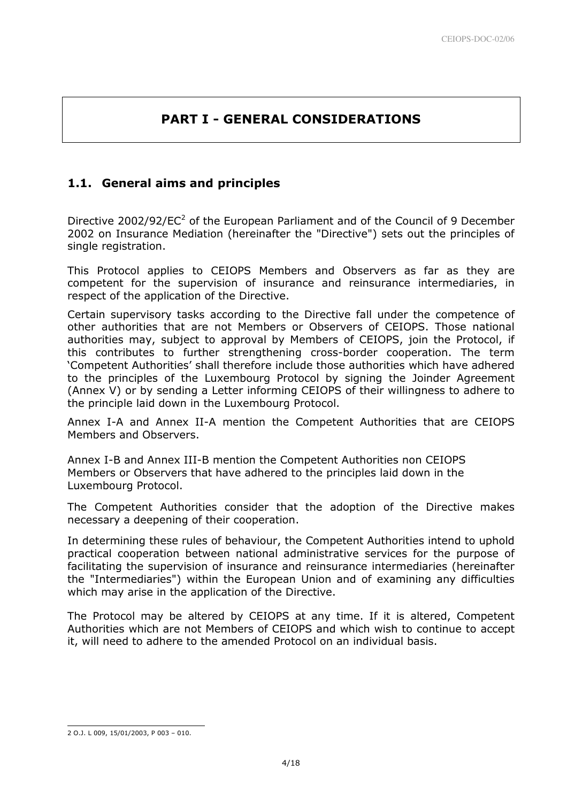# PART I - GENERAL CONSIDERATIONS

# 1.1. General aims and principles

Directive 2002/92/ $EC^2$  of the European Parliament and of the Council of 9 December 2002 on Insurance Mediation (hereinafter the "Directive") sets out the principles of single registration.

This Protocol applies to CEIOPS Members and Observers as far as they are competent for the supervision of insurance and reinsurance intermediaries, in respect of the application of the Directive.

Certain supervisory tasks according to the Directive fall under the competence of other authorities that are not Members or Observers of CEIOPS. Those national authorities may, subject to approval by Members of CEIOPS, join the Protocol, if this contributes to further strengthening cross-border cooperation. The term 'Competent Authorities' shall therefore include those authorities which have adhered to the principles of the Luxembourg Protocol by signing the Joinder Agreement (Annex V) or by sending a Letter informing CEIOPS of their willingness to adhere to the principle laid down in the Luxembourg Protocol.

Annex I-A and Annex II-A mention the Competent Authorities that are CEIOPS Members and Observers.

Annex I-B and Annex III-B mention the Competent Authorities non CEIOPS Members or Observers that have adhered to the principles laid down in the Luxembourg Protocol.

The Competent Authorities consider that the adoption of the Directive makes necessary a deepening of their cooperation.

In determining these rules of behaviour, the Competent Authorities intend to uphold practical cooperation between national administrative services for the purpose of facilitating the supervision of insurance and reinsurance intermediaries (hereinafter the "Intermediaries") within the European Union and of examining any difficulties which may arise in the application of the Directive.

The Protocol may be altered by CEIOPS at any time. If it is altered, Competent Authorities which are not Members of CEIOPS and which wish to continue to accept it, will need to adhere to the amended Protocol on an individual basis.

l

<sup>2</sup> O.J. L 009, 15/01/2003, P 003 – 010.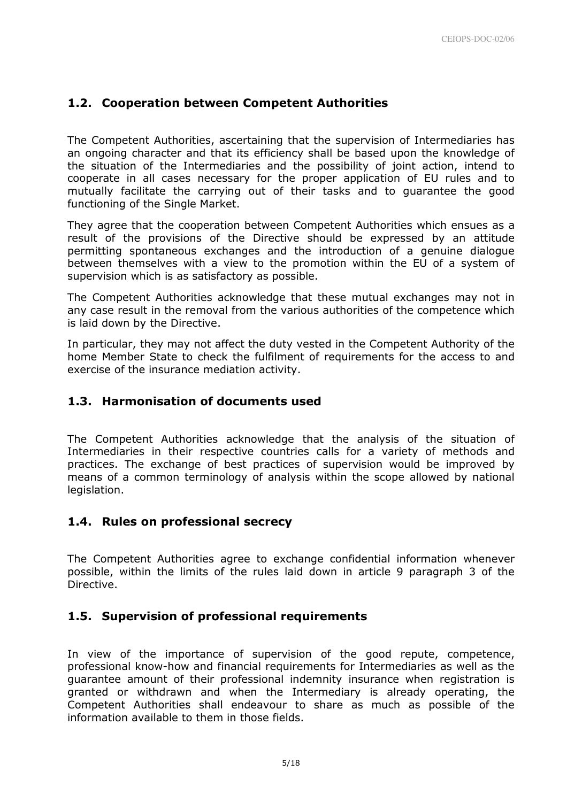# 1.2. Cooperation between Competent Authorities

The Competent Authorities, ascertaining that the supervision of Intermediaries has an ongoing character and that its efficiency shall be based upon the knowledge of the situation of the Intermediaries and the possibility of joint action, intend to cooperate in all cases necessary for the proper application of EU rules and to mutually facilitate the carrying out of their tasks and to guarantee the good functioning of the Single Market.

They agree that the cooperation between Competent Authorities which ensues as a result of the provisions of the Directive should be expressed by an attitude permitting spontaneous exchanges and the introduction of a genuine dialogue between themselves with a view to the promotion within the EU of a system of supervision which is as satisfactory as possible.

The Competent Authorities acknowledge that these mutual exchanges may not in any case result in the removal from the various authorities of the competence which is laid down by the Directive.

In particular, they may not affect the duty vested in the Competent Authority of the home Member State to check the fulfilment of requirements for the access to and exercise of the insurance mediation activity.

## 1.3. Harmonisation of documents used

The Competent Authorities acknowledge that the analysis of the situation of Intermediaries in their respective countries calls for a variety of methods and practices. The exchange of best practices of supervision would be improved by means of a common terminology of analysis within the scope allowed by national legislation.

## 1.4. Rules on professional secrecy

The Competent Authorities agree to exchange confidential information whenever possible, within the limits of the rules laid down in article 9 paragraph 3 of the Directive.

## 1.5. Supervision of professional requirements

In view of the importance of supervision of the good repute, competence, professional know-how and financial requirements for Intermediaries as well as the guarantee amount of their professional indemnity insurance when registration is granted or withdrawn and when the Intermediary is already operating, the Competent Authorities shall endeavour to share as much as possible of the information available to them in those fields.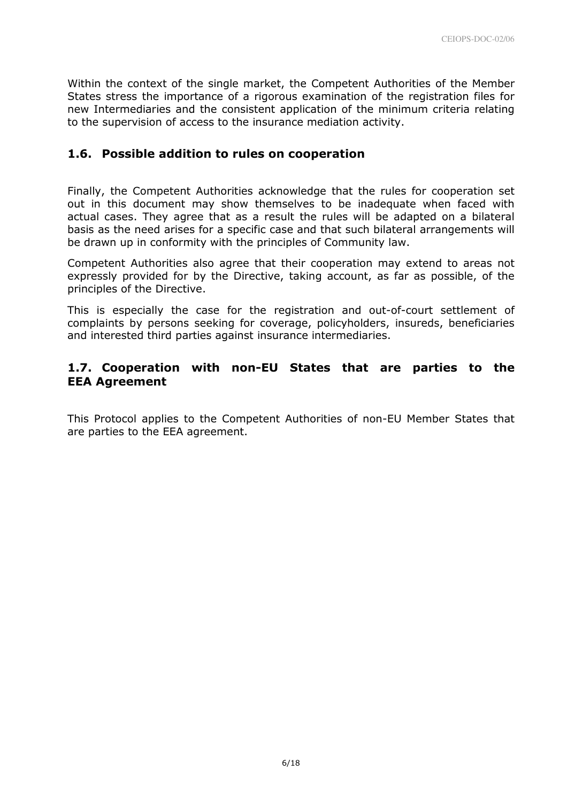Within the context of the single market, the Competent Authorities of the Member States stress the importance of a rigorous examination of the registration files for new Intermediaries and the consistent application of the minimum criteria relating to the supervision of access to the insurance mediation activity.

## 1.6. Possible addition to rules on cooperation

Finally, the Competent Authorities acknowledge that the rules for cooperation set out in this document may show themselves to be inadequate when faced with actual cases. They agree that as a result the rules will be adapted on a bilateral basis as the need arises for a specific case and that such bilateral arrangements will be drawn up in conformity with the principles of Community law.

Competent Authorities also agree that their cooperation may extend to areas not expressly provided for by the Directive, taking account, as far as possible, of the principles of the Directive.

This is especially the case for the registration and out-of-court settlement of complaints by persons seeking for coverage, policyholders, insureds, beneficiaries and interested third parties against insurance intermediaries.

# 1.7. Cooperation with non-EU States that are parties to the EEA Agreement

This Protocol applies to the Competent Authorities of non-EU Member States that are parties to the EEA agreement.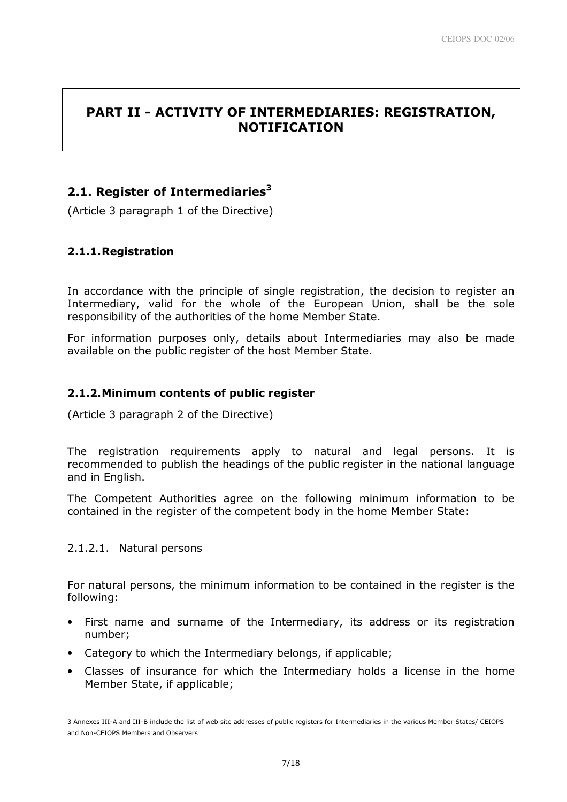# PART II - ACTIVITY OF INTERMEDIARIES: REGISTRATION, NOTIFICATION

# 2.1. Register of Intermediaries $3$

(Article 3 paragraph 1 of the Directive)

# 2.1.1. Registration

In accordance with the principle of single registration, the decision to register an Intermediary, valid for the whole of the European Union, shall be the sole responsibility of the authorities of the home Member State.

For information purposes only, details about Intermediaries may also be made available on the public register of the host Member State.

## 2.1.2. Minimum contents of public register

(Article 3 paragraph 2 of the Directive)

The registration requirements apply to natural and legal persons. It is recommended to publish the headings of the public register in the national language and in English.

The Competent Authorities agree on the following minimum information to be contained in the register of the competent body in the home Member State:

## 2.1.2.1. Natural persons

L

For natural persons, the minimum information to be contained in the register is the following:

- First name and surname of the Intermediary, its address or its registration number;
- Category to which the Intermediary belongs, if applicable;
- Classes of insurance for which the Intermediary holds a license in the home Member State, if applicable;

<sup>3</sup> Annexes III-A and III-B include the list of web site addresses of public registers for Intermediaries in the various Member States/ CEIOPS and Non-CEIOPS Members and Observers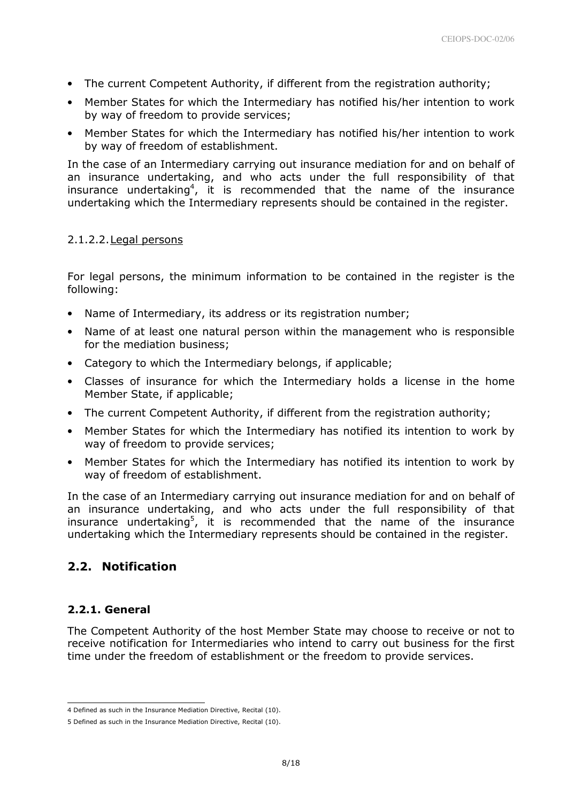- The current Competent Authority, if different from the registration authority;
- Member States for which the Intermediary has notified his/her intention to work by way of freedom to provide services;
- Member States for which the Intermediary has notified his/her intention to work by way of freedom of establishment.

In the case of an Intermediary carrying out insurance mediation for and on behalf of an insurance undertaking, and who acts under the full responsibility of that insurance undertaking<sup>4</sup>, it is recommended that the name of the insurance undertaking which the Intermediary represents should be contained in the register.

## 2.1.2.2.Legal persons

For legal persons, the minimum information to be contained in the register is the following:

- Name of Intermediary, its address or its registration number;
- Name of at least one natural person within the management who is responsible for the mediation business;
- Category to which the Intermediary belongs, if applicable;
- Classes of insurance for which the Intermediary holds a license in the home Member State, if applicable;
- The current Competent Authority, if different from the registration authority;
- Member States for which the Intermediary has notified its intention to work by way of freedom to provide services;
- Member States for which the Intermediary has notified its intention to work by way of freedom of establishment.

In the case of an Intermediary carrying out insurance mediation for and on behalf of an insurance undertaking, and who acts under the full responsibility of that insurance undertaking<sup>5</sup>, it is recommended that the name of the insurance undertaking which the Intermediary represents should be contained in the register.

# 2.2. Notification

## 2.2.1. General

l

The Competent Authority of the host Member State may choose to receive or not to receive notification for Intermediaries who intend to carry out business for the first time under the freedom of establishment or the freedom to provide services.

<sup>4</sup> Defined as such in the Insurance Mediation Directive, Recital (10).

<sup>5</sup> Defined as such in the Insurance Mediation Directive, Recital (10).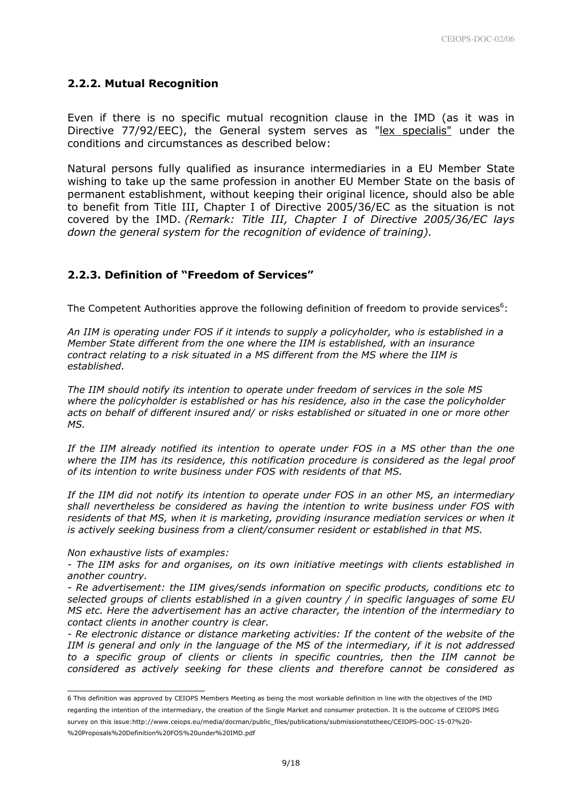#### 2.2.2. Mutual Recognition

Even if there is no specific mutual recognition clause in the IMD (as it was in Directive 77/92/EEC), the General system serves as "lex specialis" under the conditions and circumstances as described below:

Natural persons fully qualified as insurance intermediaries in a EU Member State wishing to take up the same profession in another EU Member State on the basis of permanent establishment, without keeping their original licence, should also be able to benefit from Title III, Chapter I of Directive 2005/36/EC as the situation is not covered by the IMD. (Remark: Title III, Chapter I of Directive 2005/36/EC lays down the general system for the recognition of evidence of training).

#### 2.2.3. Definition of "Freedom of Services"

The Competent Authorities approve the following definition of freedom to provide services $6$ :

An IIM is operating under FOS if it intends to supply a policyholder, who is established in a Member State different from the one where the IIM is established, with an insurance contract relating to a risk situated in a MS different from the MS where the IIM is established.

The IIM should notify its intention to operate under freedom of services in the sole MS where the policyholder is established or has his residence, also in the case the policyholder acts on behalf of different insured and/ or risks established or situated in one or more other MS.

If the IIM already notified its intention to operate under FOS in a MS other than the one where the IIM has its residence, this notification procedure is considered as the legal proof of its intention to write business under FOS with residents of that MS.

If the IIM did not notify its intention to operate under FOS in an other MS, an intermediary shall nevertheless be considered as having the intention to write business under FOS with residents of that MS, when it is marketing, providing insurance mediation services or when it is actively seeking business from a client/consumer resident or established in that MS.

#### Non exhaustive lists of examples:

L

- The IIM asks for and organises, on its own initiative meetings with clients established in another country.

- Re advertisement: the IIM gives/sends information on specific products, conditions etc to selected groups of clients established in a given country / in specific languages of some EU MS etc. Here the advertisement has an active character, the intention of the intermediary to contact clients in another country is clear.

- Re electronic distance or distance marketing activities: If the content of the website of the IIM is general and only in the language of the MS of the intermediary, if it is not addressed to a specific group of clients or clients in specific countries, then the IIM cannot be considered as actively seeking for these clients and therefore cannot be considered as

<sup>6</sup> This definition was approved by CEIOPS Members Meeting as being the most workable definition in line with the objectives of the IMD regarding the intention of the intermediary, the creation of the Single Market and consumer protection. It is the outcome of CEIOPS IMEG survey on this issue:http://www.ceiops.eu/media/docman/public\_files/publications/submissionstotheec/CEIOPS-DOC-15-07%20- %20Proposals%20Definition%20FOS%20under%20IMD.pdf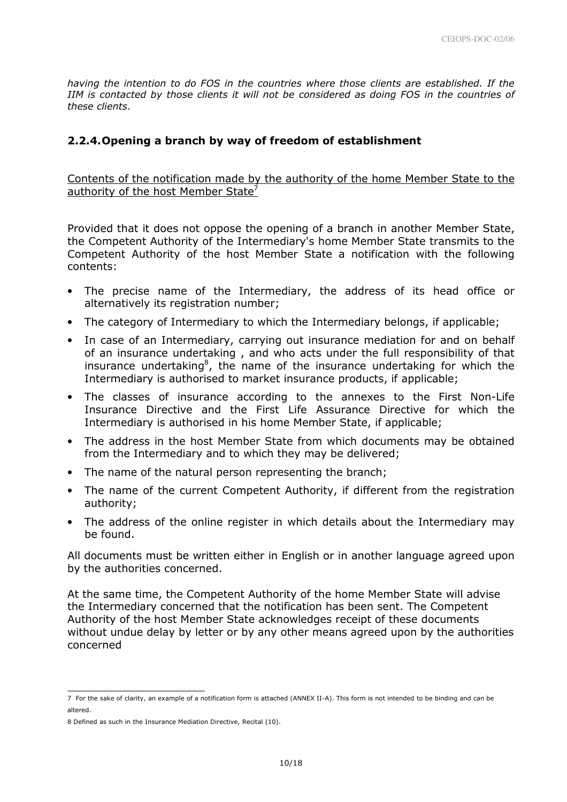having the intention to do FOS in the countries where those clients are established. If the IIM is contacted by those clients it will not be considered as doing FOS in the countries of these clients.

## 2.2.4. Opening a branch by way of freedom of establishment

Contents of the notification made by the authority of the home Member State to the authority of the host Member State $'$ 

Provided that it does not oppose the opening of a branch in another Member State, the Competent Authority of the Intermediary's home Member State transmits to the Competent Authority of the host Member State a notification with the following contents:

- The precise name of the Intermediary, the address of its head office or alternatively its registration number;
- The category of Intermediary to which the Intermediary belongs, if applicable;
- In case of an Intermediary, carrying out insurance mediation for and on behalf of an insurance undertaking , and who acts under the full responsibility of that insurance undertaking<sup>8</sup>, the name of the insurance undertaking for which the Intermediary is authorised to market insurance products, if applicable;
- The classes of insurance according to the annexes to the First Non-Life Insurance Directive and the First Life Assurance Directive for which the Intermediary is authorised in his home Member State, if applicable;
- The address in the host Member State from which documents may be obtained from the Intermediary and to which they may be delivered;
- The name of the natural person representing the branch;
- The name of the current Competent Authority, if different from the registration authority;
- The address of the online register in which details about the Intermediary may be found.

All documents must be written either in English or in another language agreed upon by the authorities concerned.

At the same time, the Competent Authority of the home Member State will advise the Intermediary concerned that the notification has been sent. The Competent Authority of the host Member State acknowledges receipt of these documents without undue delay by letter or by any other means agreed upon by the authorities concerned

L

<sup>7</sup> For the sake of clarity, an example of a notification form is attached (ANNEX II-A). This form is not intended to be binding and can be altered.

<sup>8</sup> Defined as such in the Insurance Mediation Directive, Recital (10).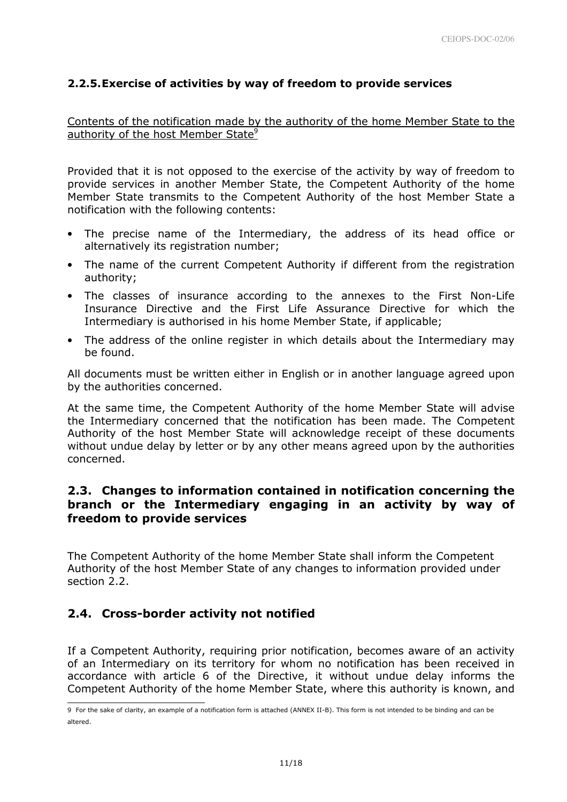## 2.2.5. Exercise of activities by way of freedom to provide services

## Contents of the notification made by the authority of the home Member State to the authority of the host Member State<sup>9</sup>

Provided that it is not opposed to the exercise of the activity by way of freedom to provide services in another Member State, the Competent Authority of the home Member State transmits to the Competent Authority of the host Member State a notification with the following contents:

- The precise name of the Intermediary, the address of its head office or alternatively its registration number;
- The name of the current Competent Authority if different from the registration authority;
- The classes of insurance according to the annexes to the First Non-Life Insurance Directive and the First Life Assurance Directive for which the Intermediary is authorised in his home Member State, if applicable;
- The address of the online register in which details about the Intermediary may be found.

All documents must be written either in English or in another language agreed upon by the authorities concerned.

At the same time, the Competent Authority of the home Member State will advise the Intermediary concerned that the notification has been made. The Competent Authority of the host Member State will acknowledge receipt of these documents without undue delay by letter or by any other means agreed upon by the authorities concerned.

## 2.3. Changes to information contained in notification concerning the branch or the Intermediary engaging in an activity by way of freedom to provide services

The Competent Authority of the home Member State shall inform the Competent Authority of the host Member State of any changes to information provided under section 2.2.

# 2.4. Cross-border activity not notified

If a Competent Authority, requiring prior notification, becomes aware of an activity of an Intermediary on its territory for whom no notification has been received in accordance with article 6 of the Directive, it without undue delay informs the Competent Authority of the home Member State, where this authority is known, and l

<sup>9</sup> For the sake of clarity, an example of a notification form is attached (ANNEX II-B). This form is not intended to be binding and can be altered.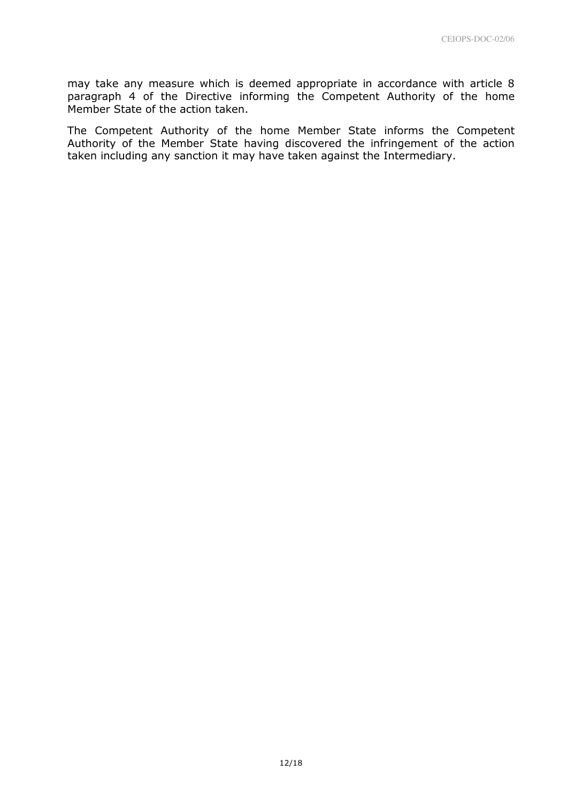may take any measure which is deemed appropriate in accordance with article 8 paragraph 4 of the Directive informing the Competent Authority of the home Member State of the action taken.

The Competent Authority of the home Member State informs the Competent Authority of the Member State having discovered the infringement of the action taken including any sanction it may have taken against the Intermediary.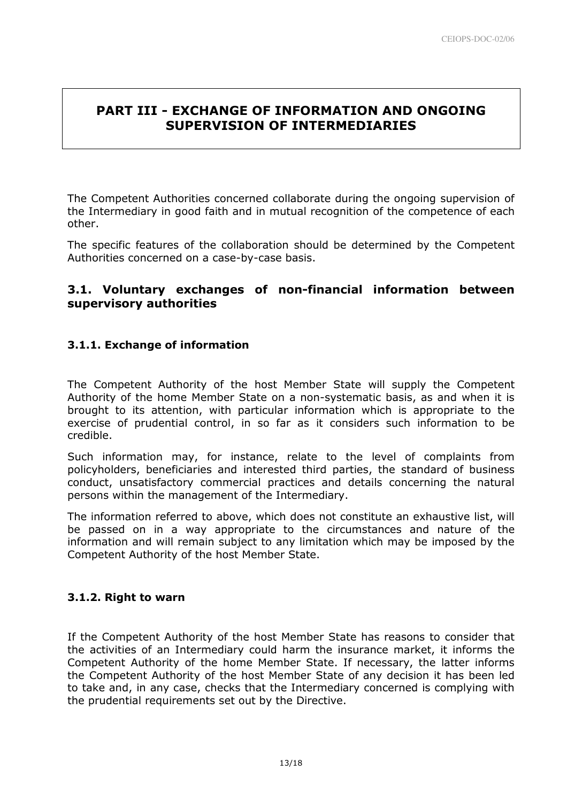# PART III - EXCHANGE OF INFORMATION AND ONGOING SUPERVISION OF INTERMEDIARIES

The Competent Authorities concerned collaborate during the ongoing supervision of the Intermediary in good faith and in mutual recognition of the competence of each other.

The specific features of the collaboration should be determined by the Competent Authorities concerned on a case-by-case basis.

## 3.1. Voluntary exchanges of non-financial information between supervisory authorities

# 3.1.1. Exchange of information

The Competent Authority of the host Member State will supply the Competent Authority of the home Member State on a non-systematic basis, as and when it is brought to its attention, with particular information which is appropriate to the exercise of prudential control, in so far as it considers such information to be credible.

Such information may, for instance, relate to the level of complaints from policyholders, beneficiaries and interested third parties, the standard of business conduct, unsatisfactory commercial practices and details concerning the natural persons within the management of the Intermediary.

The information referred to above, which does not constitute an exhaustive list, will be passed on in a way appropriate to the circumstances and nature of the information and will remain subject to any limitation which may be imposed by the Competent Authority of the host Member State.

## 3.1.2. Right to warn

If the Competent Authority of the host Member State has reasons to consider that the activities of an Intermediary could harm the insurance market, it informs the Competent Authority of the home Member State. If necessary, the latter informs the Competent Authority of the host Member State of any decision it has been led to take and, in any case, checks that the Intermediary concerned is complying with the prudential requirements set out by the Directive.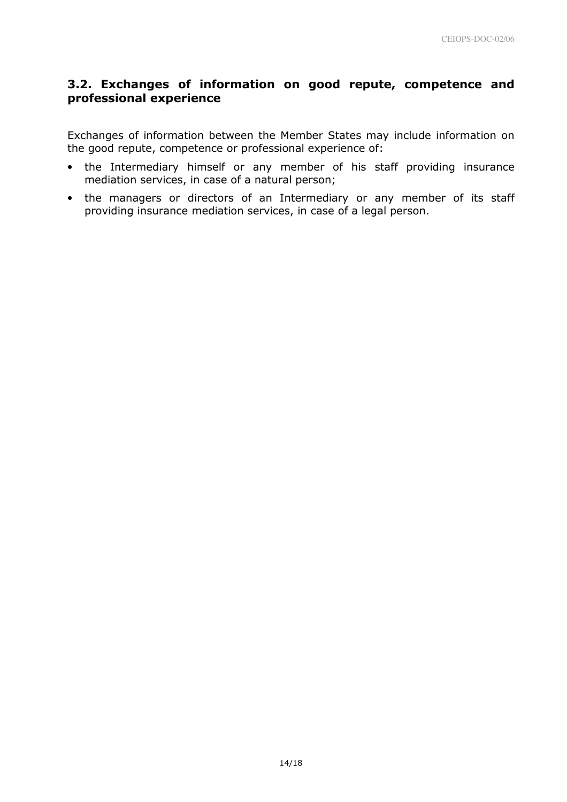# 3.2. Exchanges of information on good repute, competence and professional experience

Exchanges of information between the Member States may include information on the good repute, competence or professional experience of:

- the Intermediary himself or any member of his staff providing insurance mediation services, in case of a natural person;
- the managers or directors of an Intermediary or any member of its staff providing insurance mediation services, in case of a legal person.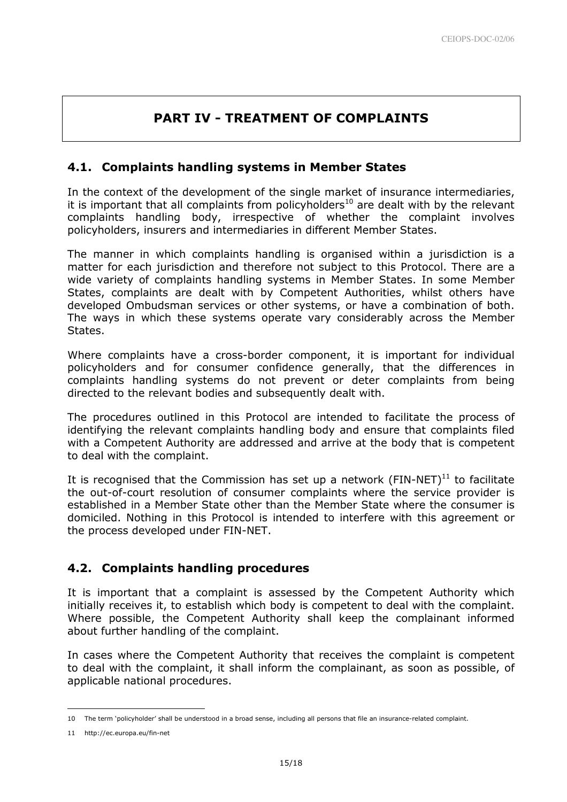# PART IV - TREATMENT OF COMPLAINTS

# 4.1. Complaints handling systems in Member States

In the context of the development of the single market of insurance intermediaries, it is important that all complaints from policyholders<sup>10</sup> are dealt with by the relevant complaints handling body, irrespective of whether the complaint involves policyholders, insurers and intermediaries in different Member States.

The manner in which complaints handling is organised within a jurisdiction is a matter for each jurisdiction and therefore not subject to this Protocol. There are a wide variety of complaints handling systems in Member States. In some Member States, complaints are dealt with by Competent Authorities, whilst others have developed Ombudsman services or other systems, or have a combination of both. The ways in which these systems operate vary considerably across the Member States.

Where complaints have a cross-border component, it is important for individual policyholders and for consumer confidence generally, that the differences in complaints handling systems do not prevent or deter complaints from being directed to the relevant bodies and subsequently dealt with.

The procedures outlined in this Protocol are intended to facilitate the process of identifying the relevant complaints handling body and ensure that complaints filed with a Competent Authority are addressed and arrive at the body that is competent to deal with the complaint.

It is recognised that the Commission has set up a network (FIN-NET) $^{11}$  to facilitate the out-of-court resolution of consumer complaints where the service provider is established in a Member State other than the Member State where the consumer is domiciled. Nothing in this Protocol is intended to interfere with this agreement or the process developed under FIN-NET.

# 4.2. Complaints handling procedures

It is important that a complaint is assessed by the Competent Authority which initially receives it, to establish which body is competent to deal with the complaint. Where possible, the Competent Authority shall keep the complainant informed about further handling of the complaint.

In cases where the Competent Authority that receives the complaint is competent to deal with the complaint, it shall inform the complainant, as soon as possible, of applicable national procedures.

L

<sup>10</sup> The term 'policyholder' shall be understood in a broad sense, including all persons that file an insurance-related complaint.

<sup>11</sup> http://ec.europa.eu/fin-net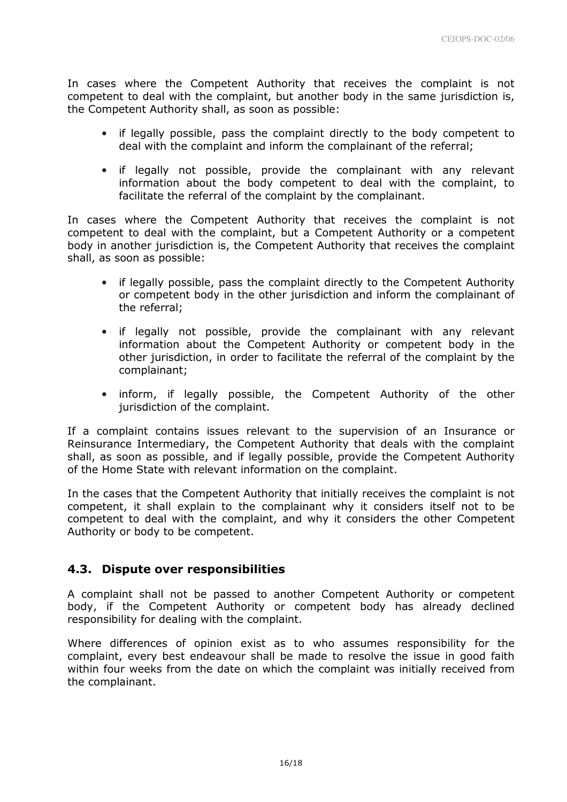In cases where the Competent Authority that receives the complaint is not competent to deal with the complaint, but another body in the same jurisdiction is, the Competent Authority shall, as soon as possible:

- if legally possible, pass the complaint directly to the body competent to deal with the complaint and inform the complainant of the referral;
- if legally not possible, provide the complainant with any relevant information about the body competent to deal with the complaint, to facilitate the referral of the complaint by the complainant.

In cases where the Competent Authority that receives the complaint is not competent to deal with the complaint, but a Competent Authority or a competent body in another jurisdiction is, the Competent Authority that receives the complaint shall, as soon as possible:

- if legally possible, pass the complaint directly to the Competent Authority or competent body in the other jurisdiction and inform the complainant of the referral;
- if legally not possible, provide the complainant with any relevant information about the Competent Authority or competent body in the other jurisdiction, in order to facilitate the referral of the complaint by the complainant;
- inform, if legally possible, the Competent Authority of the other jurisdiction of the complaint.

If a complaint contains issues relevant to the supervision of an Insurance or Reinsurance Intermediary, the Competent Authority that deals with the complaint shall, as soon as possible, and if legally possible, provide the Competent Authority of the Home State with relevant information on the complaint.

In the cases that the Competent Authority that initially receives the complaint is not competent, it shall explain to the complainant why it considers itself not to be competent to deal with the complaint, and why it considers the other Competent Authority or body to be competent.

# 4.3. Dispute over responsibilities

A complaint shall not be passed to another Competent Authority or competent body, if the Competent Authority or competent body has already declined responsibility for dealing with the complaint.

Where differences of opinion exist as to who assumes responsibility for the complaint, every best endeavour shall be made to resolve the issue in good faith within four weeks from the date on which the complaint was initially received from the complainant.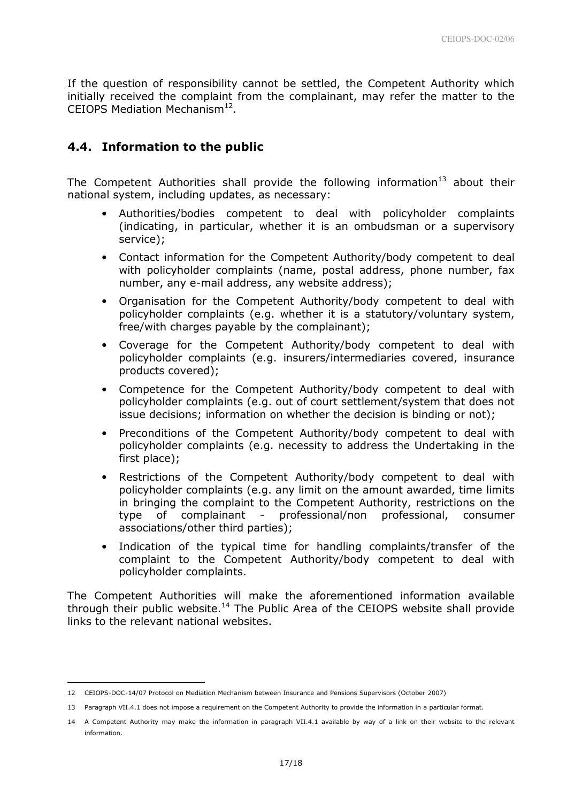If the question of responsibility cannot be settled, the Competent Authority which initially received the complaint from the complainant, may refer the matter to the CEIOPS Mediation Mechanism $^{12}$ .

## 4.4. Information to the public

The Competent Authorities shall provide the following information<sup>13</sup> about their national system, including updates, as necessary:

- Authorities/bodies competent to deal with policyholder complaints (indicating, in particular, whether it is an ombudsman or a supervisory service);
- Contact information for the Competent Authority/body competent to deal with policyholder complaints (name, postal address, phone number, fax number, any e-mail address, any website address);
- Organisation for the Competent Authority/body competent to deal with policyholder complaints (e.g. whether it is a statutory/voluntary system, free/with charges payable by the complainant);
- Coverage for the Competent Authority/body competent to deal with policyholder complaints (e.g. insurers/intermediaries covered, insurance products covered);
- Competence for the Competent Authority/body competent to deal with policyholder complaints (e.g. out of court settlement/system that does not issue decisions; information on whether the decision is binding or not);
- Preconditions of the Competent Authority/body competent to deal with policyholder complaints (e.g. necessity to address the Undertaking in the first place);
- Restrictions of the Competent Authority/body competent to deal with policyholder complaints (e.g. any limit on the amount awarded, time limits in bringing the complaint to the Competent Authority, restrictions on the type of complainant - professional/non professional, consumer associations/other third parties);
- Indication of the typical time for handling complaints/transfer of the complaint to the Competent Authority/body competent to deal with policyholder complaints.

The Competent Authorities will make the aforementioned information available through their public website. $14$  The Public Area of the CEIOPS website shall provide links to the relevant national websites.

L

<sup>12</sup> CEIOPS-DOC-14/07 Protocol on Mediation Mechanism between Insurance and Pensions Supervisors (October 2007)

<sup>13</sup> Paragraph VII.4.1 does not impose a requirement on the Competent Authority to provide the information in a particular format.

<sup>14</sup> A Competent Authority may make the information in paragraph VII.4.1 available by way of a link on their website to the relevant information.